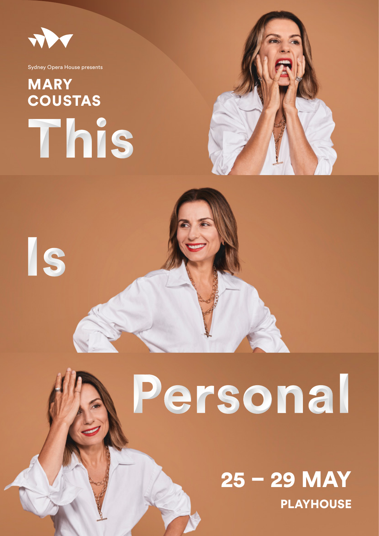

Is

Sydney Opera House presents

# This **MARY** COUSTAS



# Personal

PLAYHOUSE 25 – 29 MAY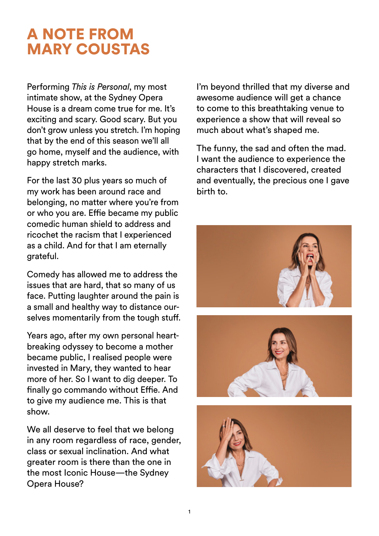### A NOTE FROM MARY COUSTAS

Performing *This is Personal*, my most intimate show, at the Sydney Opera House is a dream come true for me. It's exciting and scary. Good scary. But you don't grow unless you stretch. I'm hoping that by the end of this season we'll all go home, myself and the audience, with happy stretch marks.

For the last 30 plus years so much of my work has been around race and belonging, no matter where you're from or who you are. Effie became my public comedic human shield to address and ricochet the racism that I experienced as a child. And for that I am eternally grateful.

Comedy has allowed me to address the issues that are hard, that so many of us face. Putting laughter around the pain is a small and healthy way to distance ourselves momentarily from the tough stuff.

Years ago, after my own personal heartbreaking odyssey to become a mother became public, I realised people were invested in Mary, they wanted to hear more of her. So I want to dig deeper. To finally go commando without Effie. And to give my audience me. This is that show.

We all deserve to feel that we belong in any room regardless of race, gender, class or sexual inclination. And what greater room is there than the one in the most Iconic House—the Sydney Opera House?

I'm beyond thrilled that my diverse and awesome audience will get a chance to come to this breathtaking venue to experience a show that will reveal so much about what's shaped me.

The funny, the sad and often the mad. I want the audience to experience the characters that I discovered, created and eventually, the precious one I gave birth to.

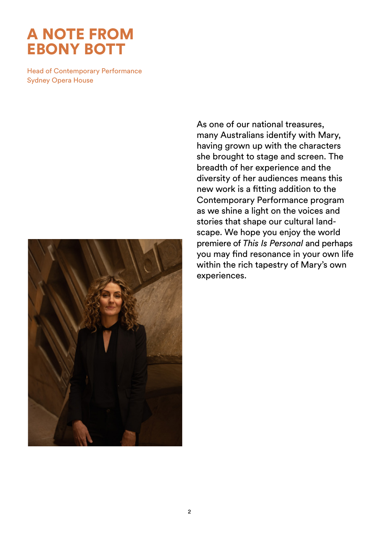#### A NOTE FROM EBONY BOTT

Head of Contemporary Performance Sydney Opera House



As one of our national treasures, many Australians identify with Mary, having grown up with the characters she brought to stage and screen. The breadth of her experience and the diversity of her audiences means this new work is a fitting addition to the Contemporary Performance program as we shine a light on the voices and stories that shape our cultural landscape. We hope you enjoy the world premiere of *This Is Personal* and perhaps you may find resonance in your own life within the rich tapestry of Mary's own experiences.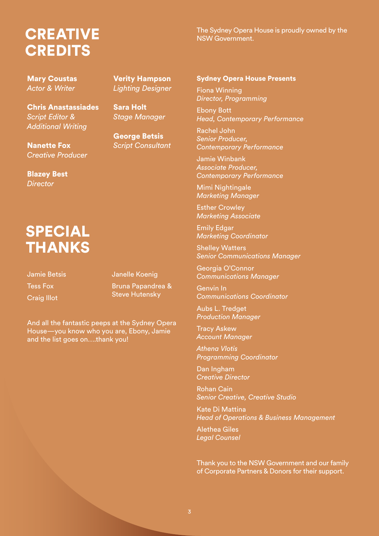### **CREATIVE CREDITS**

The Sydney Opera House is proudly owned by the NSW Government.

Mary Coustas *Actor & Writer*

Chris Anastassiades *Script Editor & Additional Writing*

Nanette Fox *Creative Producer*

Blazey Best *Director*

## SPECIAL **THANKS**

Jamie Betsis Tess Fox Craig Illot

Verity Hampson *Lighting Designer*

Sara Holt *Stage Manager*

George Betsis *Script Consultant*

#### Janelle Koenig

Bruna Papandrea & Steve Hutensky

And all the fantastic peeps at the Sydney Opera House—you know who you are, Ebony, Jamie and the list goes on….thank you!

#### Sydney Opera House Presents

Fiona Winning *Director, Programming*

Ebony Bott *Head, Contemporary Performance*

Rachel John *Senior Producer, Contemporary Performance* 

Jamie Winbank *Associate Producer, Contemporary Performance*

Mimi Nightingale *Marketing Manager*

Esther Crowley *Marketing Associate*

Emily Edgar *Marketing Coordinator*

Shelley Watters *Senior Communications Manager*

Georgia O'Connor *Communications Manager*

Genvin In *Communications Coordinator*

Aubs L. Tredget *Production Manager* 

Tracy Askew *Account Manager* 

*Athena Vlotis Programming Coordinator* 

Dan Ingham *Creative Director*

Rohan Cain *Senior Creative, Creative Studio*

Kate Di Mattina *Head of Operations & Business Management*

Alethea Giles *Legal Counsel* 

Thank you to the NSW Government and our family of Corporate Partners & Donors for their support.